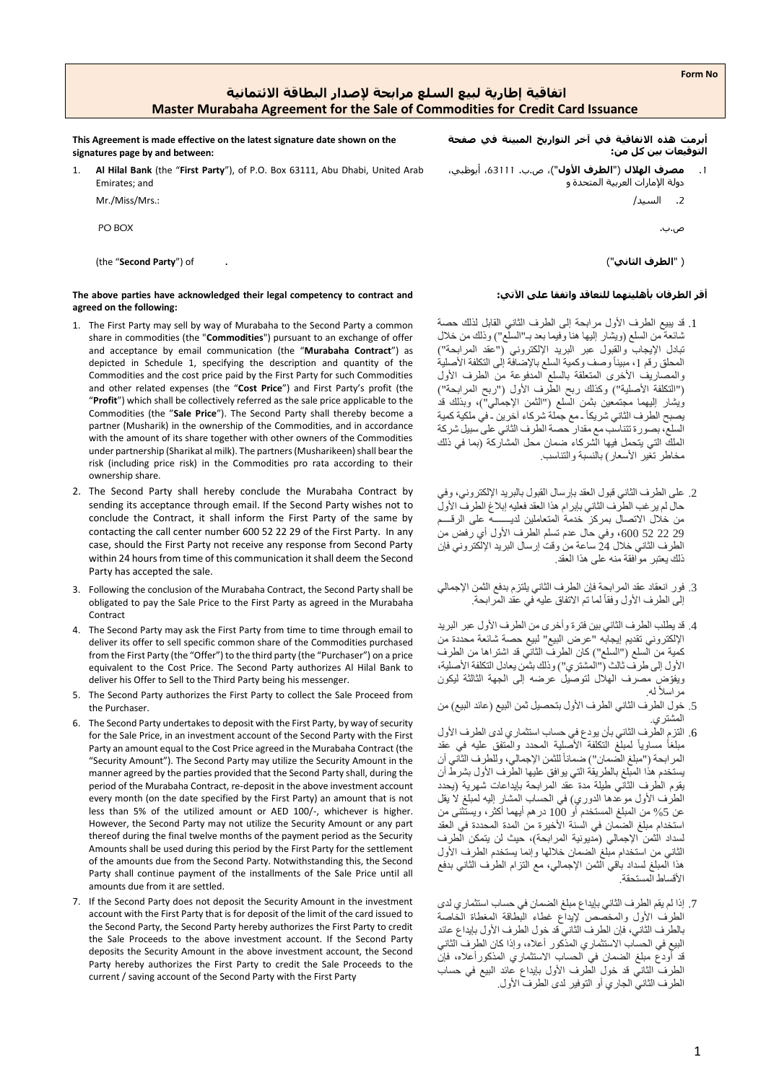1

# **اتفاقية إطارية لبيع السلع مرابحة إلصدار البطاقة االئتمانية Master Murabaha Agreement for the Sale of Commodities for Credit Card Issuance**

**This Agreement is made effective on the latest signature date shown on the signatures page by and between:**

1. **Al Hilal Bank** (the "**First Party**"), of P.O. Box 63111, Abu Dhabi, United Arab Emirates; and

Mr./Miss/Mrs.:

PO BOX

(the "**Second Party**") of . )"**الثاني الطرف**) "

### **The above parties have acknowledged their legal competency to contract and : اآلتي على واتفقا للتعاقد بأهليتهما الطرفان أقر agreed on the following:**

- 1. The First Party may sell by way of Murabaha to the Second Party a common share in commodities (the "**Commodities**") pursuant to an exchange of offer and acceptance by email communication (the "**Murabaha Contract**") as depicted in Schedule 1, specifying the description and quantity of the Commodities and the cost price paid by the First Party for such Commodities and other related expenses (the "**Cost Price**") and First Party's profit (the "**Profit**") which shall be collectively referred as the sale price applicable to the Commodities (the "**Sale Price**"). The Second Party shall thereby become a partner (Musharik) in the ownership of the Commodities, and in accordance with the amount of its share together with other owners of the Commodities under partnership (Sharikat al milk). The partners (Musharikeen) shall bear the risk (including price risk) in the Commodities pro rata according to their ownership share.
- 2. The Second Party shall hereby conclude the Murabaha Contract by sending its acceptance through email. If the Second Party wishes not to conclude the Contract, it shall inform the First Party of the same by contacting the call center number 600 52 22 29 of the First Party. In any case, should the First Party not receive any response from Second Party within 24 hours from time of this communication it shall deem the Second Party has accepted the sale.
- 3. Following the conclusion of the Murabaha Contract, the Second Party shall be obligated to pay the Sale Price to the First Party as agreed in the Murabaha Contract
- 4. The Second Party may ask the First Party from time to time through email to deliver its offer to sell specific common share of the Commodities purchased from the First Party (the "Offer") to the third party (the "Purchaser") on a price equivalent to the Cost Price. The Second Party authorizes Al Hilal Bank to deliver his Offer to Sell to the Third Party being his messenger.
- 5. The Second Party authorizes the First Party to collect the Sale Proceed from the Purchaser.
- 6. The Second Party undertakes to deposit with the First Party, by way of security for the Sale Price, in an investment account of the Second Party with the First Party an amount equal to the Cost Price agreed in the Murabaha Contract (the "Security Amount"). The Second Party may utilize the Security Amount in the manner agreed by the parties provided that the Second Party shall, during the period of the Murabaha Contract, re-deposit in the above investment account every month (on the date specified by the First Party) an amount that is not less than 5% of the utilized amount or AED 100/-, whichever is higher. However, the Second Party may not utilize the Security Amount or any part thereof during the final twelve months of the payment period as the Security Amounts shall be used during this period by the First Party for the settlement of the amounts due from the Second Party. Notwithstanding this, the Second Party shall continue payment of the installments of the Sale Price until all amounts due from it are settled.
- 7. If the Second Party does not deposit the Security Amount in the investment account with the First Party that is for deposit of the limit of the card issued to the Second Party, the Second Party hereby authorizes the First Party to credit the Sale Proceeds to the above investment account. If the Second Party deposits the Security Amount in the above investment account, the Second Party hereby authorizes the First Party to credit the Sale Proceeds to the current / saving account of the Second Party with the First Party

**أبرمت هذه االتفاقية في آخر التواريخ المبينة في صفحة التوقيعات بين كل من:** 

دولة اإلمارات العربية المتحدة و

.2 السيد/

ص.ب.

- .1 قد يبيع الطرف األول مرابحة إلى الطرف الثاني القابل لذلك حصة شائعة من السلع (ويشار إليها هنا وفيما بعد بـ"السلّع") وذلك من خلال تبادل اإليجاب والقبول عبر البريد اإللكتروني )"عقد المرابحة"( المحلق رقم 1، مبيناً وصف وكمية السلع بالإضافة إلى التكلفة الأصلية والمصاريف األخرى المتعلقة بالسلع المدفوعة من الطرف األول ("التكلفة الأصلية") وكذلك ربح الطرف الأول ("ربح المرابحة") ويشار إليهما مجتمعين بثمن السلع ("الثمن الإجمالي")، وبذلك قد يصبح الطرف الثاني شريكاً ـ مع جملة شركاء آخرين ـ في ملكية كمية السلع، بصورة تتناسب مع مقدار حصة الطرف الثاني على سبيل شركة الملك التي يتحمل فيها الشركاء ضمان محل المشاركة (بما في ذلك مخاطر تغير الأسعار ) بالنسبة والتناسب.
- .2 على الطرف الثاني قبول العقد بإرسال القبول بالبريد اإللكتروني، وفي حال لم يرغب الطرف الثاني بإبرام هذا العقد فعليه إبالغ الطرف األول من خلال الاتصال بمركز خدمة المتعاملين لديــــــــه على الرقــــم 29 22 52 ،600 وفي حال عدم تسلم الطرف األول أي رفض من الطرف الثاني خالل 24 ساعة من وقت إرسال البريد اإللكتروني فإن ذلك يعتبر موافقة منه على هذا العقد.
- .3 فور انعقاد عقد المرابحة فإن الطرف الثاني يلتزم بدفع الثمن اإلجمالي الَّه الطرف الأول وفقاً لما تم الاتفاق عليه في عقد المرابحة.
- .4 قد يطلب الطرف الثاني بين فترة وأخرى من الطرف األول عبر البريد اإللكتروني تقديم إيجابه "عرض البيع" لبيع حصة شائعة محددة من كمية من السلع ("السلع") كان الطرف الثاني قد اشتراها من الطرف الأول إلى طرفٌ ثالث ("المشتري") وذلك بثمن يعادل التكلفة الأصلية، ويفّوض مصرف الهالل لتوصيل عرضه إلى الجهة الثالثة ليكون مر اسلاً له.
- 5. خول الطرف الثاني الطرف الأول بتحصيل ثمن البيع (عائد البيع) من .<br>المشتر *ي*
- .6 التزم الطرف الثاني بأن يودع في حساب استثماري لدى الطرف األول مبلغاً مساوياً لمبلّغ التكلفة الأصلية المحدد والمتفق عليه في عقد المرابحة ("مبلغ الضمان") ضماناً للثمن الإجمالي، وللطرف الثاني أن يستخدم هذًا المبلغ بالطريقة التي يوافق عليها الطّرف الأول بشرطّ أن .<br>يقوم الطرف الثاني طيلة مدة عقد المرابحة بإيداعات شهرية (يحدد الطرف الأول موعدها الدوري) في الحساب المشار إليه لمبلغ لا يقل عن %5 من المبلغ المستخدم أو 100 درهم أيهما أكثر، ويستثنى من استخدام مبلغ الضمان في السنة األخيرة من المدة المحددة في العقد لسداد الثمن الإجمالي (مديونية المرابحة)، حيث لن يتمكن الطرف الثاني من استخدام مبلغ الضمان خاللها وإنما يستخدم الطرف األول هذا المبلغ لسداد باقي الثمن اإلجمالي، مع التزام الطرف الثاني بدفع األقساط المستحقة.
- .7 إذا لم يقم الطرف الثاني بإيداع مبلغ الضمان في حساب استثماري لدى الطرف األول والمخصص إليداع غطاء البطاقة المغطاة الخاصة بالطرف الثاني، فإن الطرف الثاني قد خول الطرف األول بإيداع عائد البيع في الحساب االستثماري المذكور أعاله، وإذا كان الطرف الثاني قد أودع مبلغ الضمان في الحساب االستثماري المذكورأعاله، فإن الطرف الثاني قد خول الطرف األول بإيداع عائد البيع في حساب الطرف الثاني الجاري أو التوفير لدى الطرف األول.

.1 **مصرف الهالل** )"**الطرف األول**"(، ص.ب. ،63111 أبوظبي،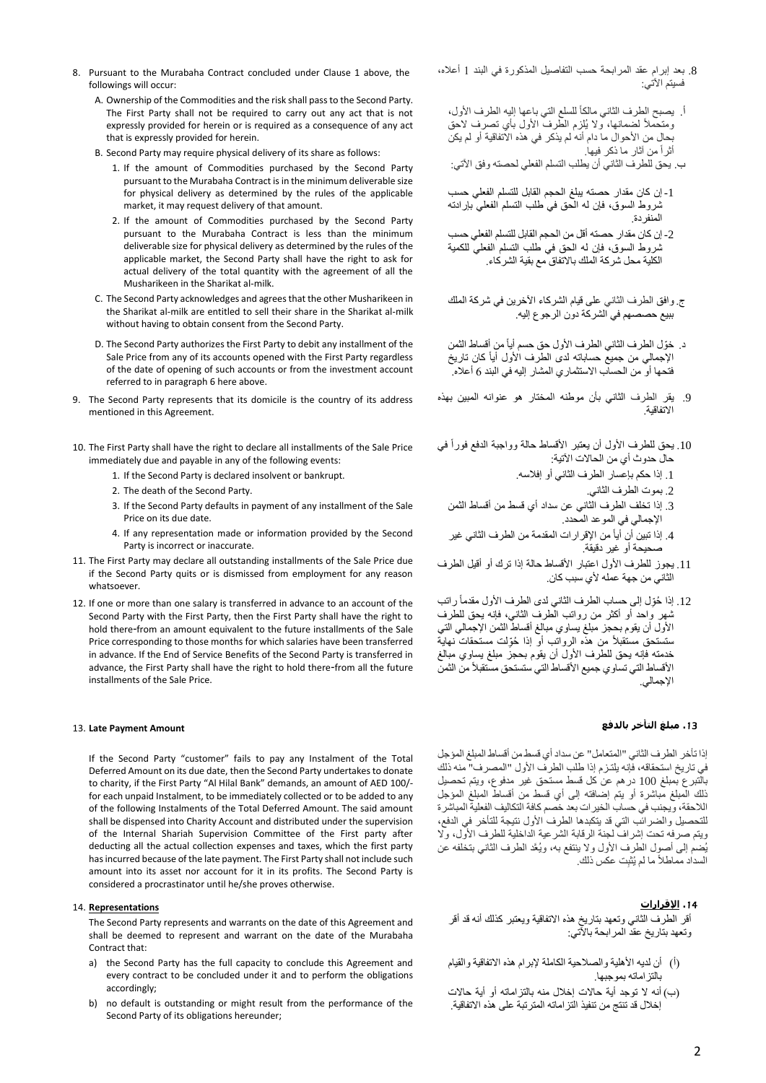- 8. Pursuant to the Murabaha Contract concluded under Clause 1 above, the followings will occur:
	- A. Ownership of the Commodities and the risk shall pass to the Second Party. The First Party shall not be required to carry out any act that is not expressly provided for herein or is required as a consequence of any act that is expressly provided for herein.
	- B. Second Party may require physical delivery of its share as follows:
		- 1. If the amount of Commodities purchased by the Second Party pursuant to the Murabaha Contract is in the minimum deliverable size for physical delivery as determined by the rules of the applicable market, it may request delivery of that amount.
		- 2. If the amount of Commodities purchased by the Second Party pursuant to the Murabaha Contract is less than the minimum deliverable size for physical delivery as determined by the rules of the applicable market, the Second Party shall have the right to ask for actual delivery of the total quantity with the agreement of all the Musharikeen in the Sharikat al-milk.
	- C. The Second Party acknowledges and agrees that the other Musharikeen in the Sharikat al-milk are entitled to sell their share in the Sharikat al-milk without having to obtain consent from the Second Party.
	- D. The Second Party authorizes the First Party to debit any installment of the Sale Price from any of its accounts opened with the First Party regardless of the date of opening of such accounts or from the investment account referred to in paragraph 6 here above.
- 9. The Second Party represents that its domicile is the country of its address mentioned in this Agreement.
- 10. The First Party shall have the right to declare all installments of the Sale Price immediately due and payable in any of the following events:
	- 1. If the Second Party is declared insolvent or bankrupt.
	- 2. The death of the Second Party.
	- 3. If the Second Party defaults in payment of any installment of the Sale Price on its due date.
	- 4. If any representation made or information provided by the Second Party is incorrect or inaccurate.
- 11. The First Party may declare all outstanding installments of the Sale Price due if the Second Party quits or is dismissed from employment for any reason whatsoever.
- 12. If one or more than one salary is transferred in advance to an account of the Second Party with the First Party, then the First Party shall have the right to hold there -from an amount equivalent to the future installments of the Sale Price corresponding to those months for which salaries have been transferred in advance. If the End of Service Benefits of the Second Party is transferred in advance, the First Party shall have the right to hold there -from all the future installments of the Sale Price.

#### 13. **Late Payment Amount**

If the Second Party "customer" fails to pay any Instalment of the Total Deferred Amount on its due date, then the Second Party undertakes to donate to charity, if the First Party "Al Hilal Bank" demands, an amount of AED 100/ for each unpaid Instalment, to be immediately collected or to be added to any of the following Instalments of the Total Deferred Amount. The said amount shall be dispensed into Charity Account and distributed under the supervision of the Internal Shariah Supervision Committee of the First party after deducting all the actual collection expenses and taxes, which the first party has incurred because of the late payment. The First Party shall not include such amount into its asset nor account for it in its profits. The Second Party is considered a procrastinator until he/she proves otherwise.

#### 14. **Representations**

The Second Party represents and warrants on the date of this Agreement and shall be deemed to represent and warrant on the date of the Murabaha Contract that:

- a) the Second Party has the full capacity to conclude this Agreement and every contract to be concluded under it and to perform the obligations accordingly;
- b) no default is outstanding or might result from the performance of the Second Party of its obligations hereunder;
- .8 بعد إبرام عقد المرابحة حسب التفاصيل المذكورة في البند 1 أعاله، فسيتم اآلتي:
	- أ. يصبح الطرف الثاني مالكا للسلع التي باعها إليه الطرف األول، ومتحملاً لضمانها، ولا يُلزم الطّرف الأول بأي تصرف لاحق بحال من األحوال ما دام أنه لم يذكر في هذه االتفاقية أو لم يكن أثرا من آثار ما ذكر فيها.
	- ب. يحق للطرف الثاني أن يطلب التسلم الفعلي لحصته وفق اآلتي:
	- -1إن كان مقدار حصته يبلغ الحجم القابل للتسلم الفعلي حسب شروط السوق، فإن له الحق في طلب التسلم الفعلي بإرادته المنفردة.
	- -2إن كان مقدار حصته أقل من الحجم القابل للتسلم الفعلي حسب شروط السوق، فإن له الحق في طلب التسلم الفعلي للكمية الكلية محل شركة الملك باالتفاق مع بقية الشركاء.
	- ج. وافق الطرف الثاني على قيام الشركاء اآلخرين في شركة الملك ببيع حصصهم في الشركة دون الرجوع إليه.
	- د. خّول الطرف الثاني الطرف األول حق حسم أيا من أقساط الثمن اإلجمالي من جميع حساباته لدى الطرف األول أيا كان تاريخ فتحها أو من الحساب االستثماري المشار إليه في البند 6 أعاله.
- .9 يقر الطرف الثاني بأن موطنه المختار هو عنوانه المبين بهذه االتفاقية.
- 10. يحق للطرف الأول أن يعتبر الأقساط حالة وواجبة الدفع فوراً في حال حدوث أي من الحاالت اآلتية:
	- .1 إذا حكم بإعسار الطرف الثاني أو إفالسه.
		- .2 بموت الطرف الثاني.
	- .3 إذا تخلف الطرف الثاني عن سداد أي قسط من أقساط الثمن اإلجمالي في الموعد المحدد.
- 4. إذا تبين أن أياً من الإقر ار ات المقدمة من الطرف الثاني غير صحيحة أو غير دقيقة.
- .11 يجوز للطرف األول اعتبار األقساط حالة إذا ترك أو أقيل الطرف الثاني من جهة عمله لأي سبب كان.
- 12. إذا حُوِّل إلى حساب الطرف الثاني لدى الطرف الأول مقدماً راتب شهر واحد أو أكثر من رواتب الطرف الثاني، فإنه يحق للطرف األول أن يقوم بحجز مبلغ يساوي مبالغ أقساط الثمن اإلجمالي التي ستستحق مستقبلاً من هذه الرواتب أوّ إذا حُوِّلت مستحقات نهاية خدمته فإنه يحق للطرف الأول أن يقوم بحجز مبلغ يساوي مبالغ الأقساط التي تساوي جميع الأقساط التي ستستحق مستقبلأ من الثمن اإلجمالي.

# **.**13 **مبلغ التأخر بالدفع**

إذا تأخر الطرف الثاني "المتعامل" عن سداد أي قسط من أقساط المبلغ المؤجل في تاريخ استحقاقه، فإنه يلتـزم إذا طلب الطرف األول "المصرف" منه ذلك بالتبرع بمبلغ 100 درهم عن كل قسط مستحق غير مدفوع، ويتم تحصيل ذلك المبلغ مباشرة أو يتم إضافته إلى أي قسط من أقساط المبلغ المؤجل الالحقة، ويجنب في حساب الخيرات بعد خصم كافة التكاليف الفعلية المباشرة للتحصيل والضرائب التي قد يتكبدها الطرف األول نتيجة للتأخر في الدفع، ويتم صرفه تحت إشراف لجنة الرقابة الشرعية الداخلية للطرف األول، وال يُضم إلى أصول الطرف األول وال ينتفع به، ويُعَّد الطرف الثاني بتخلفه عن السداد مماطلاً ما لم يُثبِت عكس ذلك.

# **.**14 **اإلقرارات**

أقر الطرف الثاني وتعهد بتاريخ هذه االتفاقية ويعتبر كذلك أنه قد أقر وتعهد بتاريخ عقد المرابحة باآلتي:

- )أ( أن لديه األهلية والصالحية الكاملة إلبرام هذه االتفاقية والقيام بالتزاماته بموجبها.
- )ب ( أنه ال توجد أية حاالت إخالل منه بالتزاماته أو أية حاالت إخالل قد تنتج من تنفيذ التزاماته المترتبة على هذه االتفاقية.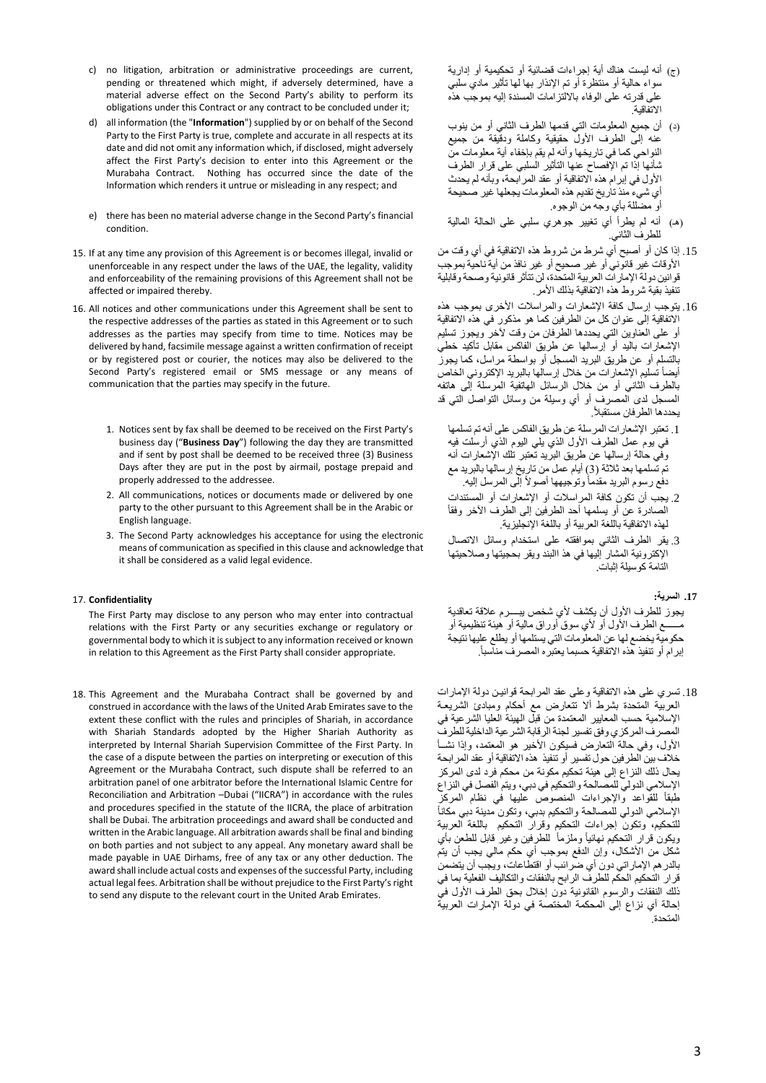- c) no litigation, arbitration or administrative proceedings are current, pending or threatened which might, if adversely determined, have a material adverse effect on the Second Party's ability to perform its obligations under this Contract or any contract to be concluded under it;
- d) all information (the "**Information**") supplied by or on behalf of the Second Party to the First Party is true, complete and accurate in all respects at its date and did not omit any information which, if disclosed, might adversely affect the First Party's decision to enter into this Agreement or the Murabaha Contract. Nothing has occurred since the date of the Information which renders it untrue or misleading in any respect; and
- e) there has been no material adverse change in the Second Party's financial condition.
- 15. If at any time any provision of this Agreement is or becomes illegal, invalid or unenforceable in any respect under the laws of the UAE, the legality, validity and enforceability of the remaining provisions of this Agreement shall not be affected or impaired thereby.
- 16. All notices and other communications under this Agreement shall be sent to the respective addresses of the parties as stated in this Agreement or to such addresses as the parties may specify from time to time. Notices may be delivered by hand, facsimile message against a written confirmation of receipt or by registered post or courier, the notices may also be delivered to the Second Party's registered email or SMS message or any means of communication that the parties may specify in the future.
	- 1. Notices sent by fax shall be deemed to be received on the First Party's business day ("**Business Day**") following the day they are transmitted and if sent by post shall be deemed to be received three (3) Business Days after they are put in the post by airmail, postage prepaid and properly addressed to the addressee.
	- 2. All communications, notices or documents made or delivered by one party to the other pursuant to this Agreement shall be in the Arabic or English language.
	- 3. The Second Party acknowledges his acceptance for using the electronic means of communication as specified in this clause and acknowledge that it shall be considered as a valid legal evidence.

### 17. **Confidentiality**

The First Party may disclose to any person who may enter into contractual relations with the First Party or any securities exchange or regulatory or governmental body to which it is subject to any information received or known in relation to this Agreement as the First Party shall consider appropriate.

18. This Agreement and the Murabaha Contract shall be governed by and construed in accordance with the laws of the United Arab Emirates save to the extent these conflict with the rules and principles of Shariah, in accordance with Shariah Standards adopted by the Higher Shariah Authority as interpreted by Internal Shariah Supervision Committee of the First Party. In the case of a dispute between the parties on interpreting or execution of this Agreement or the Murabaha Contract, such dispute shall be referred to an arbitration panel of one arbitrator before the International Islamic Centre for Reconciliation and Arbitration –Dubai ("IICRA") in accordance with the rules and procedures specified in the statute of the IICRA, the place of arbitration shall be Dubai. The arbitration proceedings and award shall be conducted and written in the Arabic language. All arbitration awards shall be final and binding on both parties and not subject to any appeal. Any monetary award shall be made payable in UAE Dirhams, free of any tax or any other deduction. The award shall include actual costs and expenses of the successful Party, including actual legal fees. Arbitration shall be without prejudice to the First Party's right to send any dispute to the relevant court in the United Arab Emirates.

- )ج( أنه ليست هناك أية إجراءات قضائية أو تحكيمية أو إدارية سواء حالية أو منتظرة أو تم اإلنذار بها لها تأثير مادي سلبي على قدرته على الوفاء بااللتزامات المسندة إليه بموجب هذه االتفاقية.
- )د( أن جميع المعلومات التي قدمها الطرف الثاني أو من ينوب عنه إلى الطرف األول حقيقية وكاملة ودقيقة من جميع النواحي كما في تاريخها وأنه لم يقم بإخفاء أية معلومات من شأنها إذا تم اإلفصاح عنها التأثير السلبي على قرار الطرف األول في إبرام هذه االتفاقية أو عقد المرابحة ، وبأنه لم يحدث أي شيء منذ تاريخ تقديم هذه المعلومات يجعلها غير صحيحة أو مضللة بأي وجه من الوجوه.
- )هـ( أنه لم يطرأ أي تغيير جوهري سلبي على الحالة المالية للطرف الثاني.
- .15 إذا كان أو أصبح أي شرط من شروط هذه االتفاقية في أي وقت من األوقات غير قانوني أو غير صحيح أو غير نافذ من أية ناحية بموجب قوانين دولة اإلمارات العربية المتحدة، لن تتأثر قانونية وصحة وقابلية تنفيذ بقية شروط هذه االتفاقية بذلك األمر.
- .16 يتوجب إرسال كافة اإلشعارات والمراسالت األخرى بموجب هذه االتفاقية إلى عنوان كل من الطرفين كما هو مذكور في هذه االتفاقية أو على العناوين التي يحددها الطرفان من وقت آلخر ويجوز تسليم اإلشعارات باليد أو إرسالها عن طريق الفاكس مقابل تأكيد خطي بالتسلم أو عن طريق البريد المسجل أو بواسطة مراسل، كما يجوز أيضا تسليم اإلشعارات من خالل إرسالها بالبريد اإلكتروني الخاص بالطرف الثاني أو من خالل الرسائل الهاتفية المرسلة إلى هاتفه المسجل لدى المصرف أو أي وسيلة من وسائل التواصل التي قد . يحددها الطرفان مستقبال
	- .1 تعتبر اإلشعارات المرسلة عن طريق الفاكس على أنه تم تسلمها في يوم عمل الطرف األول الذي يلي اليوم الذي أرسلت فيه وفي حالة إرسالها عن طريق البريد تعتبر تلك اإلشعارات أنه تم تسلمها بعد ثالثة )3( أيام عمل من تاريخ إرسالها بالبريد مع دفع رسوم البريد مقدما وتوجيهها أصوال إلى المرسل إليه.
	- .2 يجب أن تكون كافة المراسالت أو اإلشعارات أو المستندات الصادرة عن أو يسلمها أحد الطرفين إلى الطرف الآخر وفقاً لهذه الاتفاقية باللغة العربية أو باللغة الإنجليزية.
	- .3 يقر الطرف الثاني بموافقته على استخدام وسائل االتصال اإلكترونية المشار إليها في هذ االبند ويقر بحجيتها وصالحيتها التامة كوسيلة إثبات.

## **.17 السرية:**

يجوز للطرف الأول أن يكشف لأي شخص يبــــرم علاقة تعاقدية مــــــع الطرف األول أو ألي سوق أوراق مالية أو هيئة تنظيمية أو حكومية يخضع لها عن المعلومات التي يستلمها أو يطلع عليها نتيجة إبرام أو تنفيذ هذه الاتفاقية حسبما يعتبره المصرف مناسباً.

.18 تسري على هذه االتفاقية وعلى عقد المرابحة قوانيـن دولة اإلمارات العربية المتحدة بشرط أال تتعارض مع أحكام ومبادئ الشريعـة اإلسالمية حسب المعايير المعتمدة من قبل الهيئة العليا الشرعية في المصرف المركزي وفق تفسير لجنة الرقابة الشرعية الداخلية للطرف األول، وفي حالة التعارض فسيكون األخير هو المعتمد، وإذا نشــأ خالف بين الطرفين حول تفسير أو تنفيذ هذه االتفاقية أو عقد المرابحة يحال ذلك النزاع إلى هيئة تحكيم مكونة من محكم فرد لدى المركز اإلسالمي الدولي للمصالحة والتحكيم في دبي، ويتم الفصل في النزاع طبقا للقواعد واإلجراءات المنصوص عليها في نظام المركز الإسلامي الدولي للمصالحة والتحكيم بدبي، وتكون مدينة دبي مكانأ للتحكيم، وتكون إجراءات التحكيم وقرار التحكيم باللغة العربية ويكون قرار التحكيم نـهائياً وملزماً للطرفين وغير قابل للطعن بأي شكل من الأشكال، وإن الدفع بموجب أي حكم مالي يجب أن يتم بالدرهم اإلماراتي دون أي ضرائب أو اقتطاعات، ويجب أن يتضمن قرار التحكيم الحكم للطرف الرابح بالنفقات والتكاليف الفعلية بما في ذلك النفقات والرسوم القانونية دون إخلال بحق الطرف الأول في إحالة أي نزاع إلى المحكمة المختصة في دولة اإلمارات العربية المتحدة.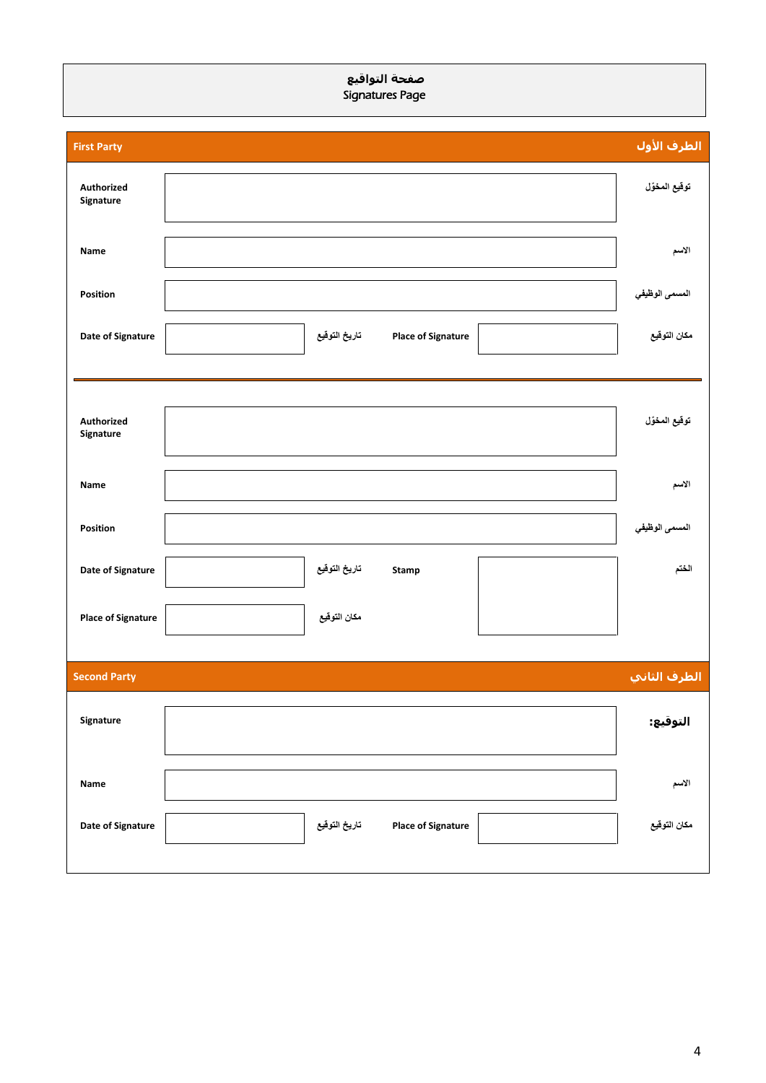# **صفحة التواقيع**  Signatures Page

| <b>First Party</b>        |                                            | <mark>الطرف الأ</mark> ول |
|---------------------------|--------------------------------------------|---------------------------|
| Authorized<br>Signature   |                                            | توقيع المخوّل             |
| Name                      |                                            | الاسم                     |
| Position                  |                                            | المسمى الوظيفي            |
| Date of Signature         | تاريخ التوقيع<br><b>Place of Signature</b> | مكان التوفيع              |
|                           |                                            |                           |
| Authorized<br>Signature   |                                            | توقيع المخوّل             |
| Name                      |                                            | الاسم                     |
| Position                  |                                            | المسمى الوظيفي            |
| Date of Signature         | تاريخ التوقيع<br><b>Stamp</b>              | الختم                     |
| <b>Place of Signature</b> | مكان التوقيع                               |                           |
| <b>Second Party</b>       |                                            | الطرف الثاني              |
| Signature                 |                                            | التوقيع:                  |
| Name                      |                                            | الاسم                     |
| Date of Signature         | تاريخ التوقيع<br><b>Place of Signature</b> | مكان التوقيع              |
|                           |                                            |                           |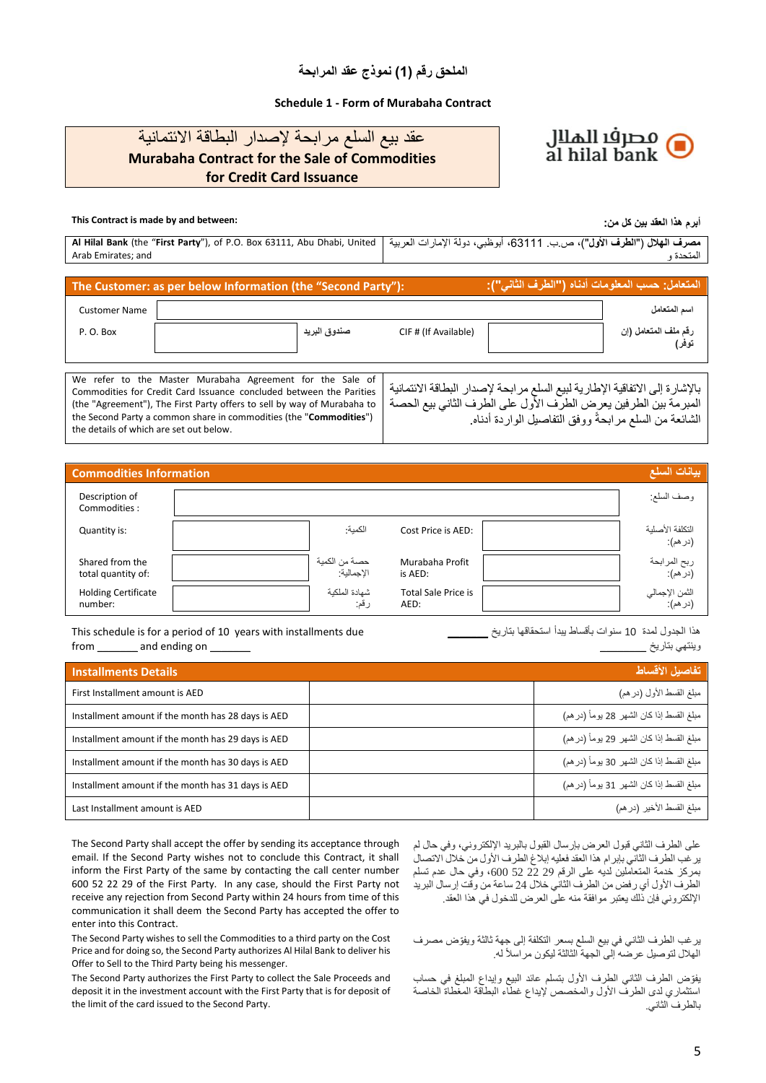# **Schedule 1 - Form of Murabaha Contract**



# عقد بيع السلع مرابحة إلصدار البطاقة االئتمانية **Murabaha Contract for the Sale of Commodities for Credit Card Issuance**

# **This Contract is made by and between: :من كل بين العقد هذا أبرم**

|                    | مصرف الهلال ("الطرف الأول")، ص.ب. 63111، أبوظبي، دولة الإمارات العربية   Al Hilal Bank (the "First Party"), of P.O. Box 63111, Abu Dhabi, United |
|--------------------|--------------------------------------------------------------------------------------------------------------------------------------------------|
| Arab Emirates: and | المتحدة و                                                                                                                                        |

# **The Customer: as per below Information (the "Second Party"): :)"الثاني الطرف )"أدناه المعلومات حسب :المتعامل**

| <b>Customer Name</b> |              |                      | اسم المتعامل                  |
|----------------------|--------------|----------------------|-------------------------------|
| P.O. Box             | صندوق البريد | CIF # (If Available) | رقم ملف المتعامل (إن<br>توفر) |
|                      |              |                      |                               |

We refer to the Master Murabaha Agreement for the Sale of Commodities for Credit Card Issuance concluded between the Parities (the "Agreement"), The First Party offers to sell by way of Murabaha to the Second Party a common share in commodities (the "**Commodities**") the details of which are set out below. باإلشارة إلى االتفاقية اإلطارية لبيع السلع مرابحة إلصدار البطاقة االئتمانية .<br>المبرمة بين الطرفين يعرض الطرف الأول على الطرف الثاني بيع الحصة الشائعة من السلع مرابحةً ووفق التفاصيل الواردة أدناه.

| <b>Commodities Information</b>        |                               |                                    | بيانات السلع                |
|---------------------------------------|-------------------------------|------------------------------------|-----------------------------|
| Description of<br>Commodities:        |                               |                                    | وصف السلع:                  |
| Quantity is:                          | الكمية:                       | Cost Price is AED:                 | التكلفة الأصلية<br>(در هم): |
| Shared from the<br>total quantity of: | حصــة من الكمية<br>الإجمالية: | Murabaha Profit<br>is AED:         | ربح المرابحة<br>(در هم):    |
| <b>Holding Certificate</b><br>number: | شهادة الملكية<br>رقم:         | <b>Total Sale Price is</b><br>AED: | الثمن الإجمالي<br>(در هم):  |

This schedule is for a period of 10 years with installments due from \_\_\_\_\_\_\_\_ and ending on \_\_\_\_

هذا الجدول لمدة 10 سنوات بأقساط يبدأ استحقاقها بتاريخ \_\_\_\_\_\_\_ وينتهي بتاريخ \_\_\_\_\_\_\_\_

| <b>Installments Details</b>                        | تفاصيل الأقساط                            |
|----------------------------------------------------|-------------------------------------------|
| First Installment amount is AED                    | مبلغ القسط الأول (در هم)                  |
| Installment amount if the month has 28 days is AED | مبلغ القسط إذا كان الشهر 28 يوماً (در هم) |
| Installment amount if the month has 29 days is AED | مبلغ القسط إذا كان الشهر 29 يوماً (در هم) |
| Installment amount if the month has 30 days is AED | مبلغ القسط إذا كان الشهر 30 يوماً (در هم) |
| Installment amount if the month has 31 days is AED | مبلغ القسط إذا كان الشهر 31 يوماً (در هم) |
| Last Installment amount is AED                     | مبلغ القسط الأخير (در هم)                 |

The Second Party shall accept the offer by sending its acceptance through email. If the Second Party wishes not to conclude this Contract, it shall inform the First Party of the same by contacting the call center number 600 52 22 29 of the First Party. In any case, should the First Party not receive any rejection from Second Party within 24 hours from time of this communication it shall deem the Second Party has accepted the offer to enter into this Contract.

The Second Party wishes to sell the Commodities to a third party on the Cost Price and for doing so, the Second Party authorizes Al Hilal Bank to deliver his Offer to Sell to the Third Party being his messenger.

The Second Party authorizes the First Party to collect the Sale Proceeds and deposit it in the investment account with the First Party that is for deposit of the limit of the card issued to the Second Party.

على الطرف الثاني قبول العرض بإرسال القبول بالبريد اإللكتروني، وفي حال لم يرغب الطرف الثاني بإبرام هذا العقد فعليه إبالغ الطرف األول من خالل االتصال بمركز خدمة المتعاملين لديه على الرقم 29 22 52 ،600 وفي حال عدم تسلم الطرف الأول أي رفض من الطرف الثاني خلال 24 ساعة من وقّت إرسال البريد اإللكتروني فإن ذلك يعتبر موافقة منه على العرض للدخول في هذا العقد.

يرغب الطرف الثاني في بيع السلع بسعر التكلفة إلى جهة ثالثة ويفّوض مصرف الهلال لتوصيل عرضه إلى الجهة الثالثة ليكون مراسلاً له.

يفّوض الطرف الثاني الطرف األول بتسلم عائد البيع وإيداع المبلغ في حساب استثماري لدى الطرف األول والمخصص إليداع غطاء البطاقة المغطاة الخاصة بالطرف الثاني.